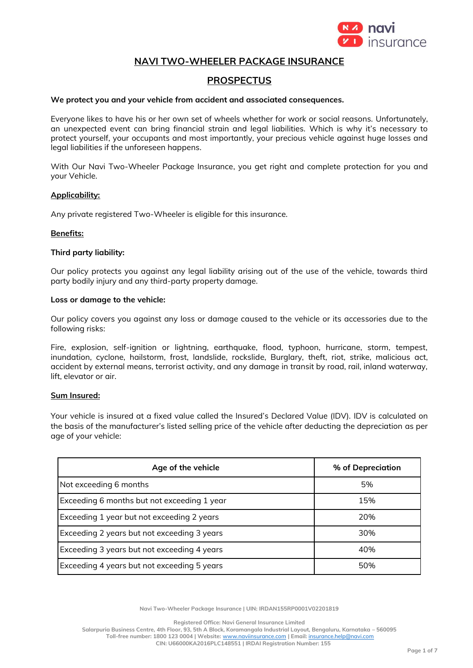

# **NAVI TWO-WHEELER PACKAGE INSURANCE**

# **PROSPECTUS**

#### **We protect you and your vehicle from accident and associated consequences.**

Everyone likes to have his or her own set of wheels whether for work or social reasons. Unfortunately, an unexpected event can bring financial strain and legal liabilities. Which is why it's necessary to protect yourself, your occupants and most importantly, your precious vehicle against huge losses and legal liabilities if the unforeseen happens.

With Our Navi Two-Wheeler Package Insurance, you get right and complete protection for you and your Vehicle.

#### **Applicability:**

Any private registered Two-Wheeler is eligible for this insurance.

#### **Benefits:**

#### **Third party liability:**

Our policy protects you against any legal liability arising out of the use of the vehicle, towards third party bodily injury and any third-party property damage.

#### **Loss or damage to the vehicle:**

Our policy covers you against any loss or damage caused to the vehicle or its accessories due to the following risks:

Fire, explosion, self-ignition or lightning, earthquake, flood, typhoon, hurricane, storm, tempest, inundation, cyclone, hailstorm, frost, landslide, rockslide, Burglary, theft, riot, strike, malicious act, accident by external means, terrorist activity, and any damage in transit by road, rail, inland waterway, lift, elevator or air.

#### **Sum Insured:**

Your vehicle is insured at a fixed value called the Insured's Declared Value (IDV). IDV is calculated on the basis of the manufacturer's listed selling price of the vehicle after deducting the depreciation as per age of your vehicle:

| Age of the vehicle                          | % of Depreciation |
|---------------------------------------------|-------------------|
| Not exceeding 6 months                      | 5%                |
| Exceeding 6 months but not exceeding 1 year | 15%               |
| Exceeding 1 year but not exceeding 2 years  | 20%               |
| Exceeding 2 years but not exceeding 3 years | 30%               |
| Exceeding 3 years but not exceeding 4 years | 40%               |
| Exceeding 4 years but not exceeding 5 years | 50%               |

**Navi Two-Wheeler Package Insurance | UIN: IRDAN155RP0001V02201819**

**Registered Office: Navi General Insurance Limited**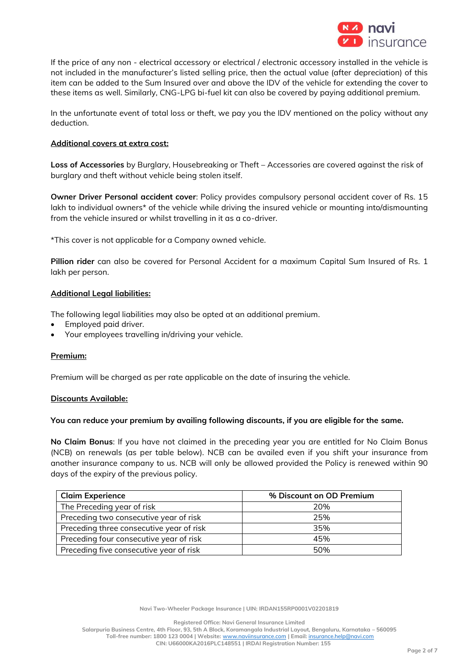

If the price of any non - electrical accessory or electrical / electronic accessory installed in the vehicle is not included in the manufacturer's listed selling price, then the actual value (after depreciation) of this item can be added to the Sum Insured over and above the IDV of the vehicle for extending the cover to these items as well. Similarly, CNG-LPG bi-fuel kit can also be covered by paying additional premium.

In the unfortunate event of total loss or theft, we pay you the IDV mentioned on the policy without any deduction.

#### **Additional covers at extra cost:**

**Loss of Accessories** by Burglary, Housebreaking or Theft – Accessories are covered against the risk of burglary and theft without vehicle being stolen itself.

**Owner Driver Personal accident cover**: Policy provides compulsory personal accident cover of Rs. 15 lakh to individual owners\* of the vehicle while driving the insured vehicle or mounting into/dismounting from the vehicle insured or whilst travelling in it as a co-driver.

\*This cover is not applicable for a Company owned vehicle.

**Pillion rider** can also be covered for Personal Accident for a maximum Capital Sum Insured of Rs. 1 lakh per person.

#### **Additional Legal liabilities:**

The following legal liabilities may also be opted at an additional premium.

- Employed paid driver.
- Your employees travelling in/driving your vehicle.

#### **Premium:**

Premium will be charged as per rate applicable on the date of insuring the vehicle.

#### **Discounts Available:**

#### **You can reduce your premium by availing following discounts, if you are eligible for the same.**

**No Claim Bonus**: If you have not claimed in the preceding year you are entitled for No Claim Bonus (NCB) on renewals (as per table below). NCB can be availed even if you shift your insurance from another insurance company to us. NCB will only be allowed provided the Policy is renewed within 90 days of the expiry of the previous policy.

| <b>Claim Experience</b>                  | % Discount on OD Premium |
|------------------------------------------|--------------------------|
| The Preceding year of risk               | 20%                      |
| Preceding two consecutive year of risk   | 25%                      |
| Preceding three consecutive year of risk | 35%                      |
| Preceding four consecutive year of risk  | 45%                      |
| Preceding five consecutive year of risk  | 50%                      |

**Navi Two-Wheeler Package Insurance | UIN: IRDAN155RP0001V02201819**

**Registered Office: Navi General Insurance Limited**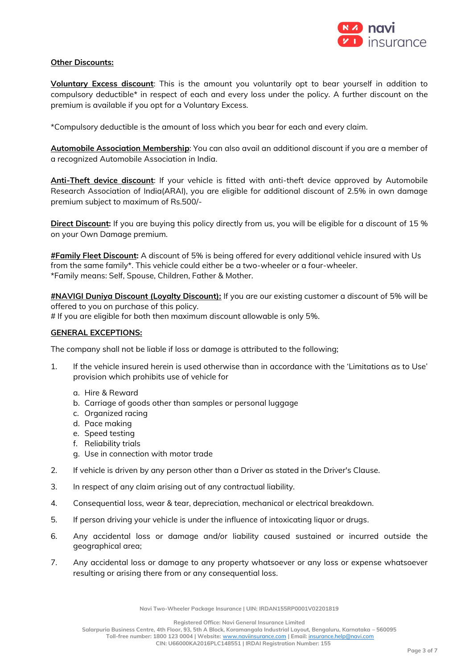

### **Other Discounts:**

**Voluntary Excess discount**: This is the amount you voluntarily opt to bear yourself in addition to compulsory deductible\* in respect of each and every loss under the policy. A further discount on the premium is available if you opt for a Voluntary Excess.

\*Compulsory deductible is the amount of loss which you bear for each and every claim.

**Automobile Association Membership**: You can also avail an additional discount if you are a member of a recognized Automobile Association in India.

**Anti-Theft device discount**: If your vehicle is fitted with anti-theft device approved by Automobile Research Association of India(ARAI), you are eligible for additional discount of 2.5% in own damage premium subject to maximum of Rs.500/-

**Direct Discount:** If you are buying this policy directly from us, you will be eligible for a discount of 15 % on your Own Damage premium.

**#Family Fleet Discount:** A discount of 5% is being offered for every additional vehicle insured with Us from the same family\*. This vehicle could either be a two-wheeler or a four-wheeler. \*Family means: Self, Spouse, Children, Father & Mother.

**#NAVIGI Duniya Discount (Loyalty Discount):** If you are our existing customer a discount of 5% will be offered to you on purchase of this policy.

# If you are eligible for both then maximum discount allowable is only 5%.

### **GENERAL EXCEPTIONS:**

The company shall not be liable if loss or damage is attributed to the following;

- 1. If the vehicle insured herein is used otherwise than in accordance with the 'Limitations as to Use' provision which prohibits use of vehicle for
	- a. Hire & Reward
	- b. Carriage of goods other than samples or personal luggage
	- c. Organized racing
	- d. Pace making
	- e. Speed testing
	- f. Reliability trials
	- g. Use in connection with motor trade
- 2. If vehicle is driven by any person other than a Driver as stated in the Driver's Clause.
- 3. In respect of any claim arising out of any contractual liability.
- 4. Consequential loss, wear & tear, depreciation, mechanical or electrical breakdown.
- 5. If person driving your vehicle is under the influence of intoxicating liquor or drugs.
- 6. Any accidental loss or damage and/or liability caused sustained or incurred outside the geographical area;
- 7. Any accidental loss or damage to any property whatsoever or any loss or expense whatsoever resulting or arising there from or any consequential loss.

**Navi Two-Wheeler Package Insurance | UIN: IRDAN155RP0001V02201819**

**Registered Office: Navi General Insurance Limited**

**Salarpuria Business Centre, 4th Floor, 93, 5th A Block, Koramangala Industrial Layout, Bengaluru, Karnataka – 560095 Toll-free number: 1800 123 0004 | Website:** [www.naviinsurance.com](http://www.naviinsurance.com/) **| Email:** [insurance.help@navi.com](mailto:insurance.help@navi.com)

**CIN: U66000KA2016PLC148551 | IRDAI Registration Number: 155**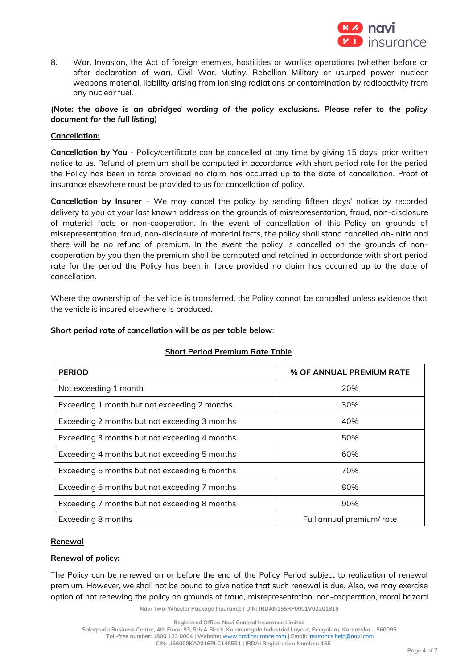

8. War, Invasion, the Act of foreign enemies, hostilities or warlike operations (whether before or after declaration of war), Civil War, Mutiny, Rebellion Military or usurped power, nuclear weapons material, liability arising from ionising radiations or contamination by radioactivity from any nuclear fuel.

# *(Note: the above is an abridged wording of the policy exclusions. Please refer to the policy document for the full listing)*

### **Cancellation:**

**Cancellation by You** - Policy/certificate can be cancelled at any time by giving 15 days' prior written notice to us. Refund of premium shall be computed in accordance with short period rate for the period the Policy has been in force provided no claim has occurred up to the date of cancellation. Proof of insurance elsewhere must be provided to us for cancellation of policy.

**Cancellation by Insurer** – We may cancel the policy by sending fifteen days' notice by recorded delivery to you at your last known address on the grounds of misrepresentation, fraud, non-disclosure of material facts or non-cooperation. In the event of cancellation of this Policy on grounds of misrepresentation, fraud, non-disclosure of material facts, the policy shall stand cancelled ab-initio and there will be no refund of premium. In the event the policy is cancelled on the grounds of noncooperation by you then the premium shall be computed and retained in accordance with short period rate for the period the Policy has been in force provided no claim has occurred up to the date of cancellation.

Where the ownership of the vehicle is transferred, the Policy cannot be cancelled unless evidence that the vehicle is insured elsewhere is produced.

#### **Short period rate of cancellation will be as per table below**:

| <b>PERIOD</b>                                 | % OF ANNUAL PREMIUM RATE |
|-----------------------------------------------|--------------------------|
| Not exceeding 1 month                         | 20%                      |
| Exceeding 1 month but not exceeding 2 months  | 30%                      |
| Exceeding 2 months but not exceeding 3 months | 40%                      |
| Exceeding 3 months but not exceeding 4 months | 50%                      |
| Exceeding 4 months but not exceeding 5 months | 60%                      |
| Exceeding 5 months but not exceeding 6 months | 70%                      |
| Exceeding 6 months but not exceeding 7 months | 80%                      |
| Exceeding 7 months but not exceeding 8 months | 90%                      |
| Exceeding 8 months                            | Full annual premium/rate |

### **Short Period Premium Rate Table**

### **Renewal**

### **Renewal of policy:**

The Policy can be renewed on or before the end of the Policy Period subject to realization of renewal premium. However, we shall not be bound to give notice that such renewal is due. Also, we may exercise option of not renewing the policy on grounds of fraud, misrepresentation, non-cooperation, moral hazard

**Navi Two-Wheeler Package Insurance | UIN: IRDAN155RP0001V02201819**

**Toll-free number: 1800 123 0004 | Website:** [www.naviinsurance.com](http://www.naviinsurance.com/) **| Email:** [insurance.help@navi.com](mailto:insurance.help@navi.com)

**CIN: U66000KA2016PLC148551 | IRDAI Registration Number: 155**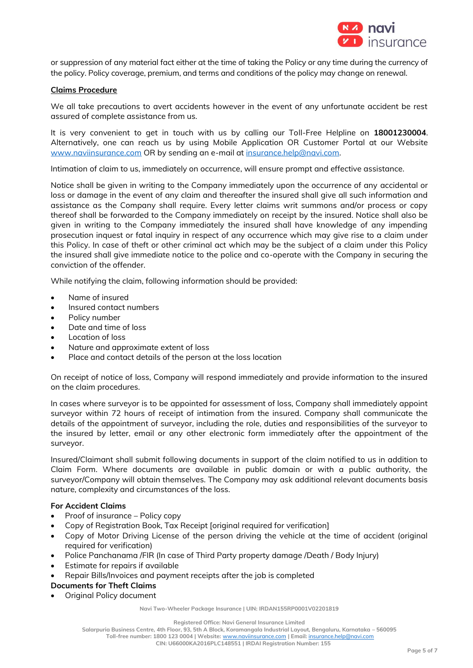

or suppression of any material fact either at the time of taking the Policy or any time during the currency of the policy. Policy coverage, premium, and terms and conditions of the policy may change on renewal.

### **Claims Procedure**

We all take precautions to avert accidents however in the event of any unfortunate accident be rest assured of complete assistance from us.

It is very convenient to get in touch with us by calling our Toll-Free Helpline on **18001230004**. Alternatively, one can reach us by using Mobile Application OR Customer Portal at our Website [www.naviinsurance.com](http://www.naviinsurance.com/) OR by sending an e-mail a[t insurance.help@navi.com.](mailto:insurance.help@navi.com)

Intimation of claim to us, immediately on occurrence, will ensure prompt and effective assistance.

Notice shall be given in writing to the Company immediately upon the occurrence of any accidental or loss or damage in the event of any claim and thereafter the insured shall give all such information and assistance as the Company shall require. Every letter claims writ summons and/or process or copy thereof shall be forwarded to the Company immediately on receipt by the insured. Notice shall also be given in writing to the Company immediately the insured shall have knowledge of any impending prosecution inquest or fatal inquiry in respect of any occurrence which may give rise to a claim under this Policy. In case of theft or other criminal act which may be the subject of a claim under this Policy the insured shall give immediate notice to the police and co-operate with the Company in securing the conviction of the offender.

While notifying the claim, following information should be provided:

- Name of insured
- Insured contact numbers
- Policy number
- Date and time of loss
- Location of loss
- Nature and approximate extent of loss
- Place and contact details of the person at the loss location

On receipt of notice of loss, Company will respond immediately and provide information to the insured on the claim procedures.

In cases where surveyor is to be appointed for assessment of loss, Company shall immediately appoint surveyor within 72 hours of receipt of intimation from the insured. Company shall communicate the details of the appointment of surveyor, including the role, duties and responsibilities of the surveyor to the insured by letter, email or any other electronic form immediately after the appointment of the surveyor.

Insured/Claimant shall submit following documents in support of the claim notified to us in addition to Claim Form. Where documents are available in public domain or with a public authority, the surveyor/Company will obtain themselves. The Company may ask additional relevant documents basis nature, complexity and circumstances of the loss.

### **For Accident Claims**

- Proof of insurance Policy copy
- Copy of Registration Book, Tax Receipt [original required for verification]
- Copy of Motor Driving License of the person driving the vehicle at the time of accident (original required for verification)
- Police Panchanama /FIR (In case of Third Party property damage /Death / Body Injury)
- Estimate for repairs if available
- Repair Bills/Invoices and payment receipts after the job is completed
- **Documents for Theft Claims**
- Original Policy document

**Navi Two-Wheeler Package Insurance | UIN: IRDAN155RP0001V02201819**

**Registered Office: Navi General Insurance Limited**

**Salarpuria Business Centre, 4th Floor, 93, 5th A Block, Koramangala Industrial Layout, Bengaluru, Karnataka – 560095**

**Toll-free number: 1800 123 0004 | Website:** [www.naviinsurance.com](http://www.naviinsurance.com/) **| Email:** [insurance.help@navi.com](mailto:insurance.help@navi.com) **CIN: U66000KA2016PLC148551 | IRDAI Registration Number: 155**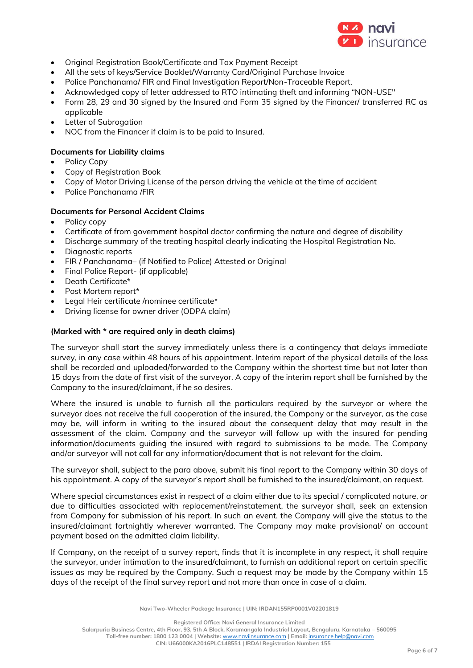

- Original Registration Book/Certificate and Tax Payment Receipt
- All the sets of keys/Service Booklet/Warranty Card/Original Purchase Invoice
- Police Panchanama/ FIR and Final Investigation Report/Non-Traceable Report.
- Acknowledged copy of letter addressed to RTO intimating theft and informing "NON-USE"
- Form 28, 29 and 30 signed by the Insured and Form 35 signed by the Financer/ transferred RC as applicable
- Letter of Subrogation
- NOC from the Financer if claim is to be paid to Insured.

# **Documents for Liability claims**

- Policy Copy
- Copy of Registration Book
- Copy of Motor Driving License of the person driving the vehicle at the time of accident
- Police Panchanama /FIR

# **Documents for Personal Accident Claims**

- Policy copy
- Certificate of from government hospital doctor confirming the nature and degree of disability
- Discharge summary of the treating hospital clearly indicating the Hospital Registration No.
- Diagnostic reports
- FIR / Panchanama– (if Notified to Police) Attested or Original
- Final Police Report- (if applicable)
- Death Certificate\*
- Post Mortem report\*
- Legal Heir certificate /nominee certificate\*
- Driving license for owner driver (ODPA claim)

### **(Marked with \* are required only in death claims)**

The surveyor shall start the survey immediately unless there is a contingency that delays immediate survey, in any case within 48 hours of his appointment. Interim report of the physical details of the loss shall be recorded and uploaded/forwarded to the Company within the shortest time but not later than 15 days from the date of first visit of the surveyor. A copy of the interim report shall be furnished by the Company to the insured/claimant, if he so desires.

Where the insured is unable to furnish all the particulars required by the surveyor or where the surveyor does not receive the full cooperation of the insured, the Company or the surveyor, as the case may be, will inform in writing to the insured about the consequent delay that may result in the assessment of the claim. Company and the surveyor will follow up with the insured for pending information/documents guiding the insured with regard to submissions to be made. The Company and/or surveyor will not call for any information/document that is not relevant for the claim.

The surveyor shall, subject to the para above, submit his final report to the Company within 30 days of his appointment. A copy of the surveyor's report shall be furnished to the insured/claimant, on request.

Where special circumstances exist in respect of a claim either due to its special / complicated nature, or due to difficulties associated with replacement/reinstatement, the surveyor shall, seek an extension from Company for submission of his report. In such an event, the Company will give the status to the insured/claimant fortnightly wherever warranted. The Company may make provisional/ on account payment based on the admitted claim liability.

If Company, on the receipt of a survey report, finds that it is incomplete in any respect, it shall require the surveyor, under intimation to the insured/claimant, to furnish an additional report on certain specific issues as may be required by the Company. Such a request may be made by the Company within 15 days of the receipt of the final survey report and not more than once in case of a claim.

**Navi Two-Wheeler Package Insurance | UIN: IRDAN155RP0001V02201819**

**Registered Office: Navi General Insurance Limited**